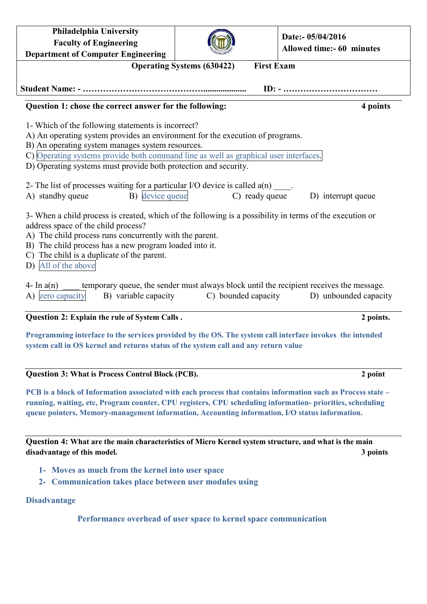| <b>Philadelphia University</b><br><b>Faculty of Engineering</b>                                                                                                                                                                                                                                                                           |                     | Date:- 05/04/2016                                                                                                |
|-------------------------------------------------------------------------------------------------------------------------------------------------------------------------------------------------------------------------------------------------------------------------------------------------------------------------------------------|---------------------|------------------------------------------------------------------------------------------------------------------|
| <b>Department of Computer Engineering</b>                                                                                                                                                                                                                                                                                                 |                     | <b>Allowed time:- 60 minutes</b>                                                                                 |
| <b>First Exam</b><br><b>Operating Systems (630422)</b>                                                                                                                                                                                                                                                                                    |                     |                                                                                                                  |
|                                                                                                                                                                                                                                                                                                                                           |                     |                                                                                                                  |
|                                                                                                                                                                                                                                                                                                                                           |                     |                                                                                                                  |
| Question 1: chose the correct answer for the following:                                                                                                                                                                                                                                                                                   |                     | 4 points                                                                                                         |
| 1- Which of the following statements is incorrect?                                                                                                                                                                                                                                                                                        |                     |                                                                                                                  |
| A) An operating system provides an environment for the execution of programs.                                                                                                                                                                                                                                                             |                     |                                                                                                                  |
| B) An operating system manages system resources.                                                                                                                                                                                                                                                                                          |                     |                                                                                                                  |
| C) Operating systems provide both command line as well as graphical user interfaces.                                                                                                                                                                                                                                                      |                     |                                                                                                                  |
| D) Operating systems must provide both protection and security.                                                                                                                                                                                                                                                                           |                     |                                                                                                                  |
|                                                                                                                                                                                                                                                                                                                                           |                     |                                                                                                                  |
| 2- The list of processes waiting for a particular I/O device is called $a(n)$ ____.                                                                                                                                                                                                                                                       |                     |                                                                                                                  |
| B) device queue<br>A) standby queue                                                                                                                                                                                                                                                                                                       | C) ready queue      | D) interrupt queue                                                                                               |
| 3- When a child process is created, which of the following is a possibility in terms of the execution or<br>address space of the child process?<br>A) The child process runs concurrently with the parent.<br>B) The child process has a new program loaded into it.<br>C) The child is a duplicate of the parent.<br>D) All of the above |                     |                                                                                                                  |
| 4- In $a(n)$<br>A) zero capacity<br>B) variable capacity                                                                                                                                                                                                                                                                                  | C) bounded capacity | temporary queue, the sender must always block until the recipient receives the message.<br>D) unbounded capacity |
| Question 2: Explain the rule of System Calls.                                                                                                                                                                                                                                                                                             |                     | 2 points.                                                                                                        |
| Programming interface to the services provided by the OS. The system call interface invokes the intended<br>system call in OS kernel and returns status of the system call and any return value                                                                                                                                           |                     |                                                                                                                  |

**Question 3: What is Process Control Block (PCB). 2 point**

**PCB is a block of Information associated with each process that contains information such as Process state – running, waiting, etc, Program counter, CPU registers, CPU scheduling information- priorities, scheduling queue pointers, Memory-management information, Accounting information, I/O status information.**

**Question 4: What are the main characteristics of Micro Kernel system structure, and what is the main disadvantage of this model. 3 points**

- **1- Moves as much from the kernel into user space**
- **2- Communication takes place between user modules using**

## **Disadvantage**

**Performance overhead of user space to kernel space communication**